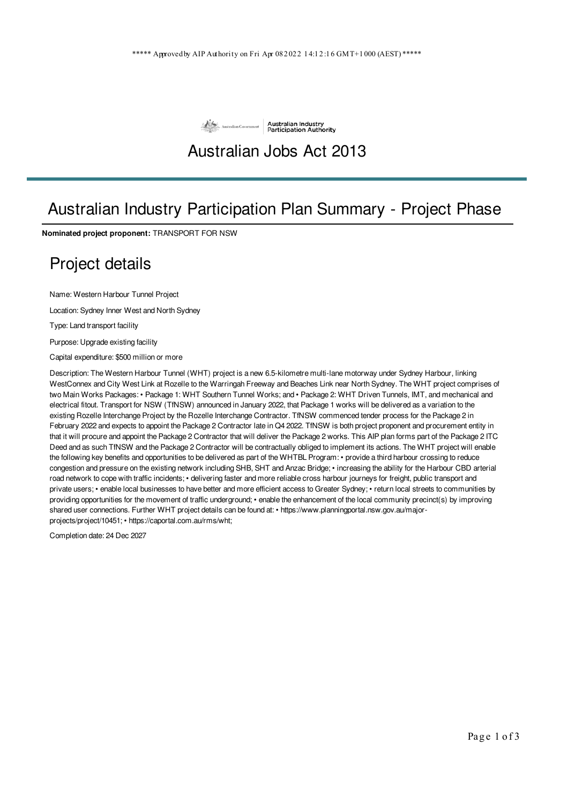

## Australian Jobs Act 2013

### Australian Industry Participation Plan Summary - Project Phase

**Nominated project proponent:** TRANSPORT FOR NSW

### Project details

Name: Western Harbour Tunnel Project

Location: Sydney Inner West and North Sydney

Type: Land transport facility

Purpose: Upgrade existing facility

Capital expenditure: \$500 million or more

Description: The Western Harbour Tunnel (WHT) project is a new 6.5-kilometre multi-lane motorway under Sydney Harbour, linking WestConnex and City West Link at Rozelle to the Warringah Freeway and Beaches Link near North Sydney. The WHT project comprises of two Main Works Packages: • Package 1: WHT Southern Tunnel Works; and • Package 2: WHT Driven Tunnels, IMT, and mechanical and electrical fitout. Transport for NSW (TfNSW) announced in January 2022, that Package 1 works will be delivered as a variation to the existing Rozelle Interchange Project by the Rozelle Interchange Contractor. TfNSW commenced tender process for the Package 2 in February 2022 and expects to appoint the Package 2 Contractor late in Q4 2022. TfNSW is both project proponent and procurement entity in that it will procure and appoint the Package 2 Contractor that will deliver the Package 2 works. This AIP plan forms part of the Package 2 ITC Deed and as such TfNSW and the Package 2 Contractor will be contractually obliged to implement its actions. The WHT project will enable the following key benefits and opportunities to be delivered as part of the WHTBL Program: • provide a third harbour crossing to reduce congestion and pressure on the existing network including SHB, SHT and Anzac Bridge; • increasing the ability for the Harbour CBD arterial road network to cope with traffic incidents; • delivering faster and more reliable cross harbour journeys for freight, public transport and private users; • enable local businesses to have better and more efficient access to Greater Sydney; • return local streets to communities by providing opportunities for the movement of traffic underground; • enable the enhancement of the local community precinct(s) by improving shared user connections. Further WHT project details can be found at: • https://www.planningportal.nsw.gov.au/majorprojects/project/10451; • https://caportal.com.au/rms/wht;

Completion date: 24 Dec 2027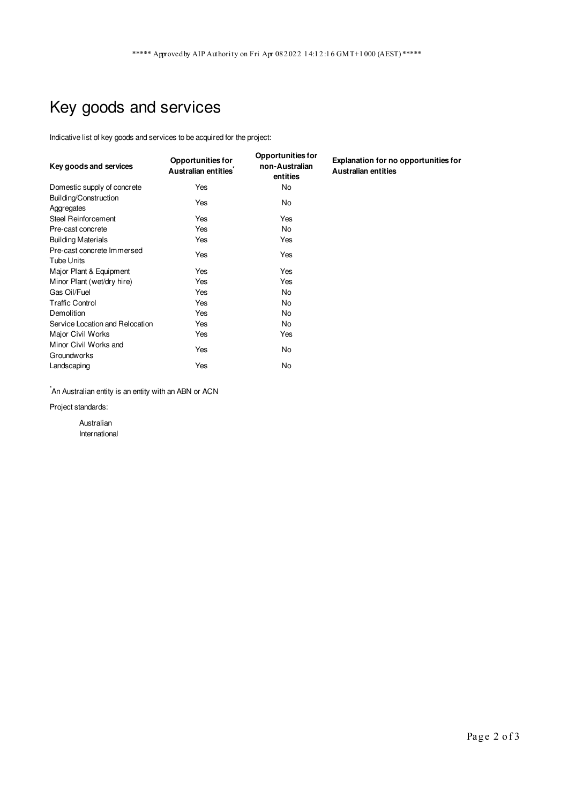# Key goods and services

Indicative list of key goods and services to be acquired for the project:

| Key goods and services                          | <b>Opportunities for</b><br>Australian entities <sup>*</sup> | <b>Opportunities for</b><br>non-Australian<br>entities | Explanation for no opportunities for<br><b>Australian entities</b> |
|-------------------------------------------------|--------------------------------------------------------------|--------------------------------------------------------|--------------------------------------------------------------------|
| Domestic supply of concrete                     | Yes                                                          | No                                                     |                                                                    |
| Building/Construction<br>Aggregates             | Yes                                                          | No                                                     |                                                                    |
| Steel Reinforcement                             | Yes                                                          | Yes                                                    |                                                                    |
| Pre-cast concrete                               | Yes                                                          | No                                                     |                                                                    |
| <b>Building Materials</b>                       | Yes                                                          | Yes                                                    |                                                                    |
| Pre-cast concrete Immersed<br><b>Tube Units</b> | Yes                                                          | Yes                                                    |                                                                    |
| Major Plant & Equipment                         | Yes                                                          | Yes                                                    |                                                                    |
| Minor Plant (wet/dry hire)                      | Yes                                                          | Yes                                                    |                                                                    |
| Gas Oil/Fuel                                    | Yes                                                          | No                                                     |                                                                    |
| <b>Traffic Control</b>                          | Yes                                                          | No                                                     |                                                                    |
| Demolition                                      | Yes                                                          | No                                                     |                                                                    |
| Service Location and Relocation                 | Yes                                                          | No                                                     |                                                                    |
| Major Civil Works                               | Yes                                                          | Yes                                                    |                                                                    |
| Minor Civil Works and<br><b>Groundworks</b>     | Yes                                                          | No                                                     |                                                                    |
| Landscaping                                     | Yes                                                          | No                                                     |                                                                    |

 $\hat{}$ An Australian entity is an entity with an ABN or ACN

Project standards:

Australian International